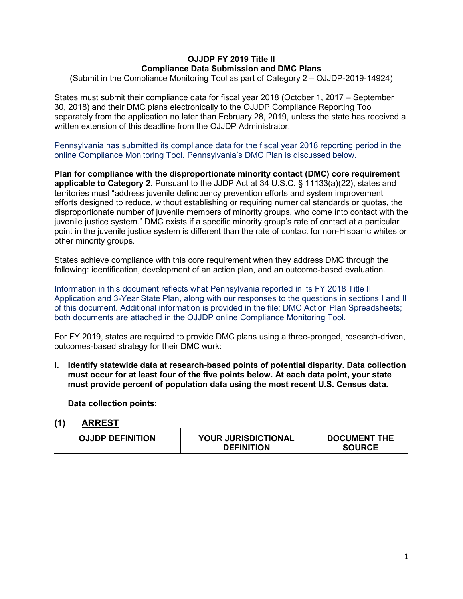## **OJJDP FY 2019 Title II Compliance Data Submission and DMC Plans**

(Submit in the Compliance Monitoring Tool as part of Category 2 – OJJDP-2019-14924)

States must submit their compliance data for fiscal year 2018 (October 1, 2017 – September 30, 2018) and their DMC plans electronically to the OJJDP Compliance Reporting Tool separately from the application no later than February 28, 2019, unless the state has received a written extension of this deadline from the OJJDP Administrator.

Pennsylvania has submitted its compliance data for the fiscal year 2018 reporting period in the online Compliance Monitoring Tool. Pennsylvania's DMC Plan is discussed below.

**Plan for compliance with the disproportionate minority contact (DMC) core requirement applicable to Category 2.** Pursuant to the JJDP Act at 34 U.S.C. § 11133(a)(22), states and territories must "address juvenile delinquency prevention efforts and system improvement efforts designed to reduce, without establishing or requiring numerical standards or quotas, the disproportionate number of juvenile members of minority groups, who come into contact with the juvenile justice system." DMC exists if a specific minority group's rate of contact at a particular point in the juvenile justice system is different than the rate of contact for non-Hispanic whites or other minority groups.

States achieve compliance with this core requirement when they address DMC through the following: identification, development of an action plan, and an outcome-based evaluation.

Information in this document reflects what Pennsylvania reported in its FY 2018 Title II Application and 3-Year State Plan, along with our responses to the questions in sections I and II of this document. Additional information is provided in the file: DMC Action Plan Spreadsheets; both documents are attached in the OJJDP online Compliance Monitoring Tool.

For FY 2019, states are required to provide DMC plans using a three-pronged, research-driven, outcomes-based strategy for their DMC work:

**I. Identify statewide data at research-based points of potential disparity. Data collection must occur for at least four of the five points below. At each data point, your state must provide percent of population data using the most recent U.S. Census data.**

**Data collection points:** 

**(1) ARREST**

| <b>DEFINITION</b><br><b>SOURCE</b> |  | <b>OJJDP DEFINITION</b> | <b>YOUR JURISDICTIONAL</b> | <b>DOCUMENT THE</b> |
|------------------------------------|--|-------------------------|----------------------------|---------------------|
|------------------------------------|--|-------------------------|----------------------------|---------------------|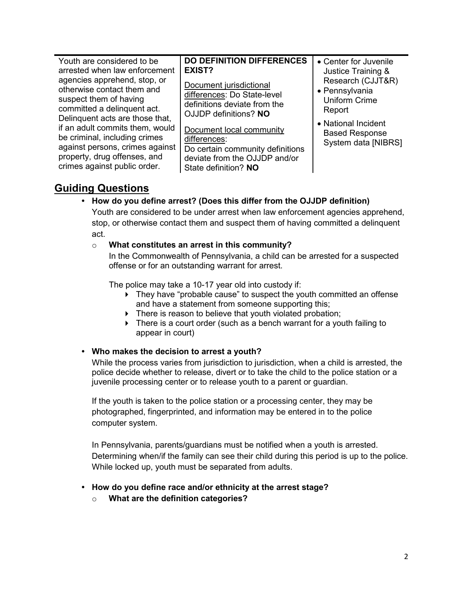| Youth are considered to be                                                                                                                                                                                                                                                                                                                                     | <b>DO DEFINITION DIFFERENCES</b>                                                                                                                                                                                                                                          | • Center for Juvenile                                                                                                                                              |
|----------------------------------------------------------------------------------------------------------------------------------------------------------------------------------------------------------------------------------------------------------------------------------------------------------------------------------------------------------------|---------------------------------------------------------------------------------------------------------------------------------------------------------------------------------------------------------------------------------------------------------------------------|--------------------------------------------------------------------------------------------------------------------------------------------------------------------|
| arrested when law enforcement<br>agencies apprehend, stop, or<br>otherwise contact them and<br>suspect them of having<br>committed a delinquent act.<br>Delinquent acts are those that,<br>if an adult commits them, would<br>be criminal, including crimes<br>against persons, crimes against<br>property, drug offenses, and<br>crimes against public order. | <b>EXIST?</b><br>Document jurisdictional<br>differences: Do State-level<br>definitions deviate from the<br>OJJDP definitions? NO<br>Document local community<br>differences:<br>Do certain community definitions<br>deviate from the OJJDP and/or<br>State definition? NO | Justice Training &<br>Research (CJJT&R)<br>• Pennsylvania<br><b>Uniform Crime</b><br>Report<br>• National Incident<br><b>Based Response</b><br>System data [NIBRS] |

## **Guiding Questions**

## **• How do you define arrest? (Does this differ from the OJJDP definition)**

Youth are considered to be under arrest when law enforcement agencies apprehend, stop, or otherwise contact them and suspect them of having committed a delinquent act.

### o **What constitutes an arrest in this community?**

In the Commonwealth of Pennsylvania, a child can be arrested for a suspected offense or for an outstanding warrant for arrest.

The police may take a 10-17 year old into custody if:

- ▶ They have "probable cause" to suspect the youth committed an offense and have a statement from someone supporting this;
- There is reason to believe that youth violated probation;
- ▶ There is a court order (such as a bench warrant for a youth failing to appear in court)

## **• Who makes the decision to arrest a youth?**

While the process varies from jurisdiction to jurisdiction, when a child is arrested, the police decide whether to release, divert or to take the child to the police station or a juvenile processing center or to release youth to a parent or guardian.

If the youth is taken to the police station or a processing center, they may be photographed, fingerprinted, and information may be entered in to the police computer system.

In Pennsylvania, parents/guardians must be notified when a youth is arrested. Determining when/if the family can see their child during this period is up to the police. While locked up, youth must be separated from adults.

- **• How do you define race and/or ethnicity at the arrest stage?** 
	- o **What are the definition categories?**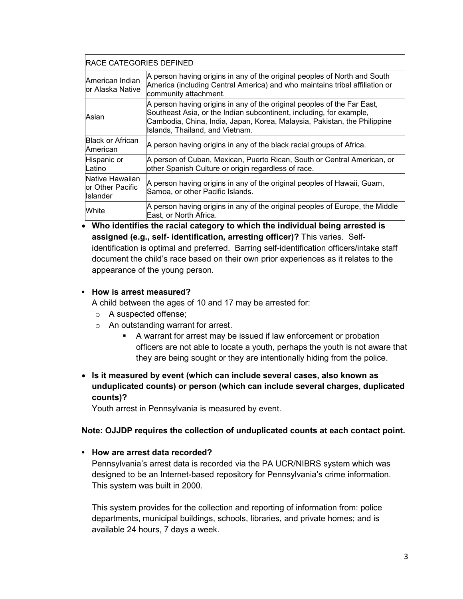| <b>RACE CATEGORIES DEFINED</b> |  |
|--------------------------------|--|
|--------------------------------|--|

| American Indian<br>or Alaska Native              | A person having origins in any of the original peoples of North and South<br>America (including Central America) and who maintains tribal affiliation or<br>community attachment.                                                                             |
|--------------------------------------------------|---------------------------------------------------------------------------------------------------------------------------------------------------------------------------------------------------------------------------------------------------------------|
| lAsian                                           | A person having origins in any of the original peoples of the Far East,<br>Southeast Asia, or the Indian subcontinent, including, for example,<br>Cambodia, China, India, Japan, Korea, Malaysia, Pakistan, the Philippine<br>Islands, Thailand, and Vietnam. |
| lBlack or African<br>American                    | A person having origins in any of the black racial groups of Africa.                                                                                                                                                                                          |
| Hispanic or<br>Latino                            | A person of Cuban, Mexican, Puerto Rican, South or Central American, or<br>other Spanish Culture or origin regardless of race.                                                                                                                                |
| Native Hawaiian<br>lor Other Pacific<br>Islander | A person having origins in any of the original peoples of Hawaii, Guam,<br>Samoa, or other Pacific Islands.                                                                                                                                                   |
| <b>White</b>                                     | A person having origins in any of the original peoples of Europe, the Middle<br>East, or North Africa.                                                                                                                                                        |

• **Who identifies the racial category to which the individual being arrested is assigned (e.g., self- identification, arresting officer)?** This varies. Selfidentification is optimal and preferred. Barring self-identification officers/intake staff document the child's race based on their own prior experiences as it relates to the appearance of the young person.

### **• How is arrest measured?**

A child between the ages of 10 and 17 may be arrested for:

- o A suspected offense;
- o An outstanding warrant for arrest.
	- A warrant for arrest may be issued if law enforcement or probation officers are not able to locate a youth, perhaps the youth is not aware that they are being sought or they are intentionally hiding from the police.
- **Is it measured by event (which can include several cases, also known as unduplicated counts) or person (which can include several charges, duplicated counts)?**

Youth arrest in Pennsylvania is measured by event.

## **Note: OJJDP requires the collection of unduplicated counts at each contact point.**

## **• How are arrest data recorded?**

Pennsylvania's arrest data is recorded via the PA UCR/NIBRS system which was designed to be an Internet-based repository for Pennsylvania's crime information. This system was built in 2000.

This system provides for the collection and reporting of information from: police departments, municipal buildings, schools, libraries, and private homes; and is available 24 hours, 7 days a week.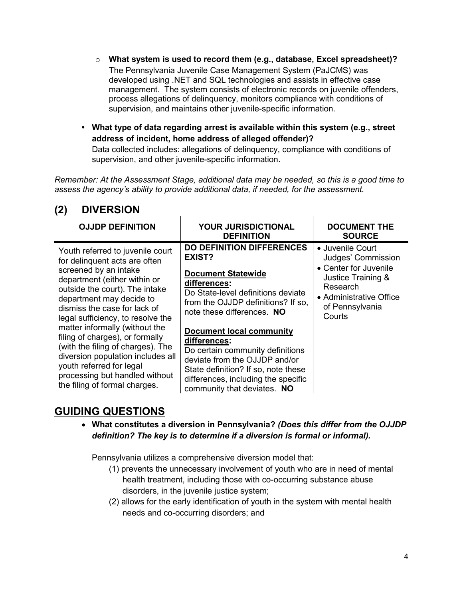- o **What system is used to record them (e.g., database, Excel spreadsheet)?** The Pennsylvania Juvenile Case Management System (PaJCMS) was developed using .NET and SQL technologies and assists in effective case management. The system consists of electronic records on juvenile offenders, process allegations of delinquency, monitors compliance with conditions of supervision, and maintains other juvenile-specific information.
- **• What type of data regarding arrest is available within this system (e.g., street address of incident, home address of alleged offender)?**

Data collected includes: allegations of delinquency, compliance with conditions of supervision, and other juvenile-specific information.

*Remember: At the Assessment Stage, additional data may be needed, so this is a good time to assess the agency's ability to provide additional data, if needed, for the assessment.*

| <b>OJJDP DEFINITION</b>                                                                                                                                                                                                                                                                                                                                                                                                                                                                                     | <b>YOUR JURISDICTIONAL</b><br><b>DEFINITION</b>                                                                                                                                                                                                                                                                                                                                                                                        | <b>DOCUMENT THE</b><br><b>SOURCE</b>                                                                                                                      |
|-------------------------------------------------------------------------------------------------------------------------------------------------------------------------------------------------------------------------------------------------------------------------------------------------------------------------------------------------------------------------------------------------------------------------------------------------------------------------------------------------------------|----------------------------------------------------------------------------------------------------------------------------------------------------------------------------------------------------------------------------------------------------------------------------------------------------------------------------------------------------------------------------------------------------------------------------------------|-----------------------------------------------------------------------------------------------------------------------------------------------------------|
| Youth referred to juvenile court<br>for delinquent acts are often<br>screened by an intake<br>department (either within or<br>outside the court). The intake<br>department may decide to<br>dismiss the case for lack of<br>legal sufficiency, to resolve the<br>matter informally (without the<br>filing of charges), or formally<br>(with the filing of charges). The<br>diversion population includes all<br>youth referred for legal<br>processing but handled without<br>the filing of formal charges. | <b>DO DEFINITION DIFFERENCES</b><br>EXIST?<br><b>Document Statewide</b><br>differences:<br>Do State-level definitions deviate<br>from the OJJDP definitions? If so,<br>note these differences. NO<br><b>Document local community</b><br>differences:<br>Do certain community definitions<br>deviate from the OJJDP and/or<br>State definition? If so, note these<br>differences, including the specific<br>community that deviates. NO | • Juvenile Court<br>Judges' Commission<br>• Center for Juvenile<br>Justice Training &<br>Research<br>• Administrative Office<br>of Pennsylvania<br>Courts |

## **(2) DIVERSION**

# **GUIDING QUESTIONS**

• **What constitutes a diversion in Pennsylvania?** *(Does this differ from the OJJDP definition? The key is to determine if a diversion is formal or informal).*

Pennsylvania utilizes a comprehensive diversion model that:

- (1) prevents the unnecessary involvement of youth who are in need of mental health treatment, including those with co-occurring substance abuse disorders, in the juvenile justice system;
- (2) allows for the early identification of youth in the system with mental health needs and co-occurring disorders; and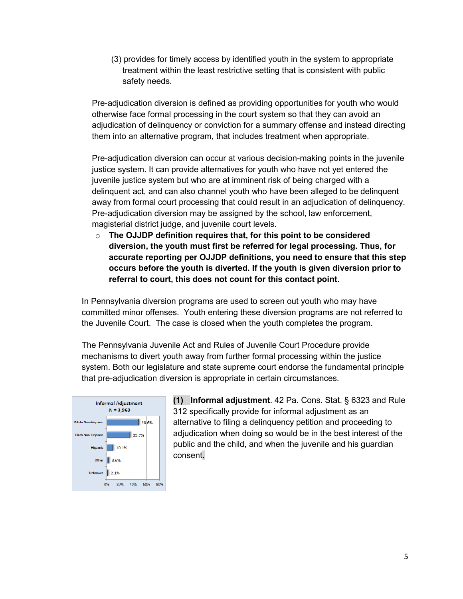(3) provides for timely access by identified youth in the system to appropriate treatment within the least restrictive setting that is consistent with public safety needs.

Pre-adjudication diversion is defined as providing opportunities for youth who would otherwise face formal processing in the court system so that they can avoid an adjudication of delinquency or conviction for a summary offense and instead directing them into an alternative program, that includes treatment when appropriate.

Pre-adjudication diversion can occur at various decision-making points in the juvenile justice system. It can provide alternatives for youth who have not yet entered the juvenile justice system but who are at imminent risk of being charged with a delinquent act, and can also channel youth who have been alleged to be delinquent away from formal court processing that could result in an adjudication of delinquency. Pre-adjudication diversion may be assigned by the school, law enforcement, magisterial district judge, and juvenile court levels.

o **The OJJDP definition requires that, for this point to be considered diversion, the youth must first be referred for legal processing. Thus, for accurate reporting per OJJDP definitions, you need to ensure that this step occurs before the youth is diverted. If the youth is given diversion prior to referral to court, this does not count for this contact point.**

In Pennsylvania diversion programs are used to screen out youth who may have committed minor offenses. Youth entering these diversion programs are not referred to the Juvenile Court. The case is closed when the youth completes the program.

The Pennsylvania Juvenile Act and Rules of Juvenile Court Procedure provide mechanisms to divert youth away from further formal processing within the justice system. Both our legislature and state supreme court endorse the fundamental principle that pre-adjudication diversion is appropriate in certain circumstances.



**(1) Informal adjustment**. 42 Pa. Cons. Stat. § 6323 and Rule 312 specifically provide for informal adjustment as an alternative to filing a delinquency petition and proceeding to adjudication when doing so would be in the best interest of the public and the child, and when the juvenile and his guardian consent.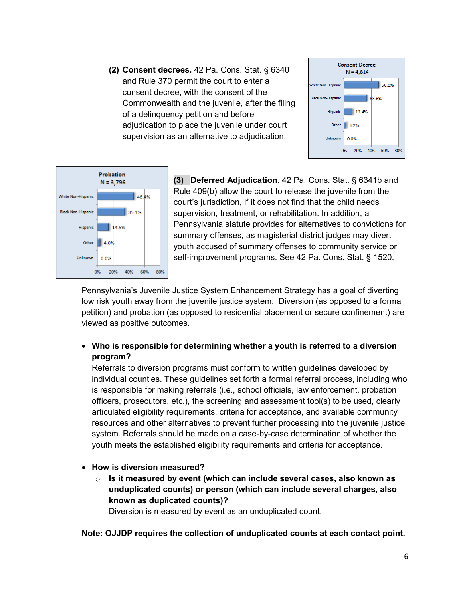**(2) Consent decrees.** 42 Pa. Cons. Stat. § 6340 and Rule 370 permit the court to enter a consent decree, with the consent of the Commonwealth and the juvenile, after the filing of a delinquency petition and before adjudication to place the juvenile under court supervision as an alternative to adjudication.





**(3) Deferred Adjudication**. 42 Pa. Cons. Stat. § 6341b and Rule 409(b) allow the court to release the juvenile from the court's jurisdiction, if it does not find that the child needs supervision, treatment, or rehabilitation. In addition, a Pennsylvania statute provides for alternatives to convictions for summary offenses, as magisterial district judges may divert youth accused of summary offenses to community service or self-improvement programs. See 42 Pa. Cons. Stat. § 1520.

Pennsylvania's Juvenile Justice System Enhancement Strategy has a goal of diverting low risk youth away from the juvenile justice system. Diversion (as opposed to a formal petition) and probation (as opposed to residential placement or secure confinement) are viewed as positive outcomes.

• **Who is responsible for determining whether a youth is referred to a diversion program?**

Referrals to diversion programs must conform to written guidelines developed by individual counties. These guidelines set forth a formal referral process, including who is responsible for making referrals (i.e., school officials, law enforcement, probation officers, prosecutors, etc.), the screening and assessment tool(s) to be used, clearly articulated eligibility requirements, criteria for acceptance, and available community resources and other alternatives to prevent further processing into the juvenile justice system. Referrals should be made on a case-by-case determination of whether the youth meets the established eligibility requirements and criteria for acceptance.

- **How is diversion measured?**
	- o **Is it measured by event (which can include several cases, also known as unduplicated counts) or person (which can include several charges, also known as duplicated counts)?**

Diversion is measured by event as an unduplicated count.

**Note: OJJDP requires the collection of unduplicated counts at each contact point.**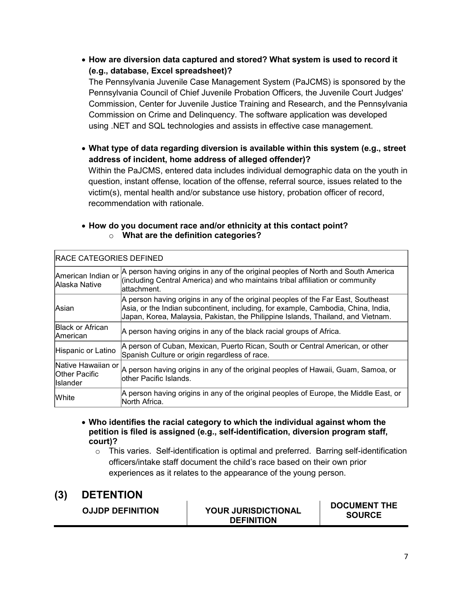• **How are diversion data captured and stored? What system is used to record it (e.g., database, Excel spreadsheet)?**

The Pennsylvania Juvenile Case Management System (PaJCMS) is sponsored by the Pennsylvania Council of Chief Juvenile Probation Officers, the Juvenile Court Judges' Commission, Center for Juvenile Justice Training and Research, and the Pennsylvania Commission on Crime and Delinquency. The software application was developed using .NET and SQL technologies and assists in effective case management.

• **What type of data regarding diversion is available within this system (e.g., street address of incident, home address of alleged offender)?** 

Within the PaJCMS, entered data includes individual demographic data on the youth in question, instant offense, location of the offense, referral source, issues related to the victim(s), mental health and/or substance use history, probation officer of record, recommendation with rationale.

|  | • How do you document race and/or ethnicity at this contact point? |
|--|--------------------------------------------------------------------|
|  | What are the definition categories?                                |

| <b>IRACE CATEGORIES DEFINED</b>                                 |                                                                                                                                                                                                                                                            |  |  |
|-----------------------------------------------------------------|------------------------------------------------------------------------------------------------------------------------------------------------------------------------------------------------------------------------------------------------------------|--|--|
| American Indian or<br>Alaska Native                             | A person having origins in any of the original peoples of North and South America<br>(including Central America) and who maintains tribal affiliation or community<br>lattachment.                                                                         |  |  |
| lAsian                                                          | A person having origins in any of the original peoples of the Far East, Southeast<br>Asia, or the Indian subcontinent, including, for example, Cambodia, China, India,<br>Japan, Korea, Malaysia, Pakistan, the Philippine Islands, Thailand, and Vietnam. |  |  |
| <b>Black or African</b><br><b>American</b>                      | A person having origins in any of the black racial groups of Africa.                                                                                                                                                                                       |  |  |
| Hispanic or Latino                                              | A person of Cuban, Mexican, Puerto Rican, South or Central American, or other<br>Spanish Culture or origin regardless of race.                                                                                                                             |  |  |
| Native Hawaiian or l<br><b>Other Pacific</b><br><b>Islander</b> | A person having origins in any of the original peoples of Hawaii, Guam, Samoa, or<br>lother Pacific Islands.                                                                                                                                               |  |  |
| White                                                           | A person having origins in any of the original peoples of Europe, the Middle East, or<br>North Africa.                                                                                                                                                     |  |  |

- **Who identifies the racial category to which the individual against whom the petition is filed is assigned (e.g., self-identification, diversion program staff, court)?**
	- $\circ$  This varies. Self-identification is optimal and preferred. Barring self-identification officers/intake staff document the child's race based on their own prior experiences as it relates to the appearance of the young person.

# **(3) DETENTION**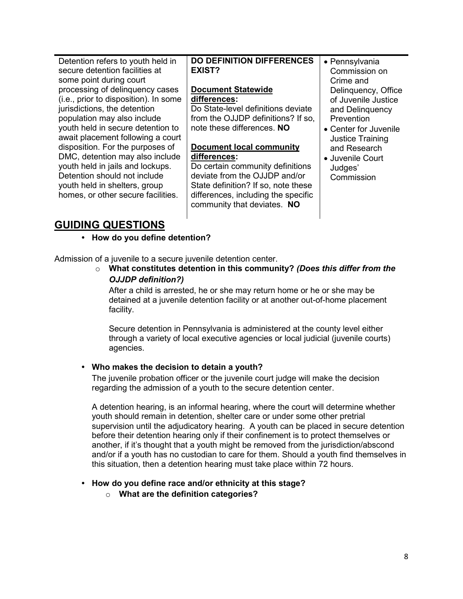Detention refers to youth held in secure detention facilities at some point during court processing of delinquency cases (i.e., prior to disposition). In some jurisdictions, the detention population may also include youth held in secure detention to await placement following a court disposition. For the purposes of DMC, detention may also include youth held in jails and lockups. Detention should not include youth held in shelters, group homes, or other secure facilities.

## **DO DEFINITION DIFFERENCES EXIST?**

## **Document Statewide differences:**

Do State-level definitions deviate from the OJJDP definitions? If so, note these differences. **NO**

## **Document local community differences:**

Do certain community definitions deviate from the OJJDP and/or State definition? If so, note these differences, including the specific community that deviates. **NO**

- Pennsylvania Commission on Crime and Delinquency, Office of Juvenile Justice and Delinquency **Prevention**
- Center for Juvenile Justice Training and Research
- Juvenile Court Judges' **Commission**

# **GUIDING QUESTIONS**

**• How do you define detention?** 

Admission of a juvenile to a secure juvenile detention center.

o **What constitutes detention in this community?** *(Does this differ from the OJJDP definition?)* 

After a child is arrested, he or she may return home or he or she may be detained at a juvenile detention facility or at another out-of-home placement facility.

Secure detention in Pennsylvania is administered at the county level either through a variety of local executive agencies or local judicial (juvenile courts) agencies.

## **• Who makes the decision to detain a youth?**

The juvenile probation officer or the juvenile court judge will make the decision regarding the admission of a youth to the secure detention center.

A detention hearing, is an informal hearing, where the court will determine whether youth should remain in detention, shelter care or under some other pretrial supervision until the adjudicatory hearing. A youth can be placed in secure detention before their detention hearing only if their confinement is to protect themselves or another, if it's thought that a youth might be removed from the jurisdiction/abscond and/or if a youth has no custodian to care for them. Should a youth find themselves in this situation, then a detention hearing must take place within 72 hours.

## **• How do you define race and/or ethnicity at this stage?**

o **What are the definition categories?**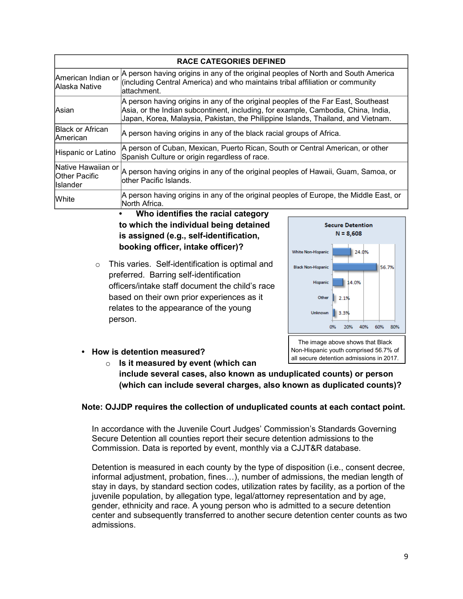|                                                        | <b>RACE CATEGORIES DEFINED</b>                                                                                                                                                                                                                             |
|--------------------------------------------------------|------------------------------------------------------------------------------------------------------------------------------------------------------------------------------------------------------------------------------------------------------------|
| American Indian or<br>Alaska Native                    | A person having origins in any of the original peoples of North and South America<br>(including Central America) and who maintains tribal affiliation or community<br>lattachment.                                                                         |
| <b>Asian</b>                                           | A person having origins in any of the original peoples of the Far East, Southeast<br>Asia, or the Indian subcontinent, including, for example, Cambodia, China, India,<br>Japan, Korea, Malaysia, Pakistan, the Philippine Islands, Thailand, and Vietnam. |
| <b>Black or African</b><br>lAmerican                   | A person having origins in any of the black racial groups of Africa.                                                                                                                                                                                       |
| Hispanic or Latino                                     | A person of Cuban, Mexican, Puerto Rican, South or Central American, or other<br>Spanish Culture or origin regardless of race.                                                                                                                             |
| Native Hawaiian or<br><b>Other Pacific</b><br>Islander | A person having origins in any of the original peoples of Hawaii, Guam, Samoa, or<br>lother Pacific Islands.                                                                                                                                               |
| White                                                  | A person having origins in any of the original peoples of Europe, the Middle East, or<br>North Africa.                                                                                                                                                     |

## **• Who identifies the racial category to which the individual being detained is assigned (e.g., self-identification, booking officer, intake officer)?**

o This varies. Self-identification is optimal and preferred. Barring self-identification officers/intake staff document the child's race based on their own prior experiences as it relates to the appearance of the young person.



- **• How is detention measured?** 
	- o **Is it measured by event (which can include several cases, also known as unduplicated counts) or person**

# **Note: OJJDP requires the collection of unduplicated counts at each contact point.**

**(which can include several charges, also known as duplicated counts)?** 

In accordance with the Juvenile Court Judges' Commission's Standards Governing Secure Detention all counties report their secure detention admissions to the Commission. Data is reported by event, monthly via a CJJT&R database.

Detention is measured in each county by the type of disposition (i.e., consent decree, informal adjustment, probation, fines…), number of admissions, the median length of stay in days, by standard section codes, utilization rates by facility, as a portion of the juvenile population, by allegation type, legal/attorney representation and by age, gender, ethnicity and race. A young person who is admitted to a secure detention center and subsequently transferred to another secure detention center counts as two admissions.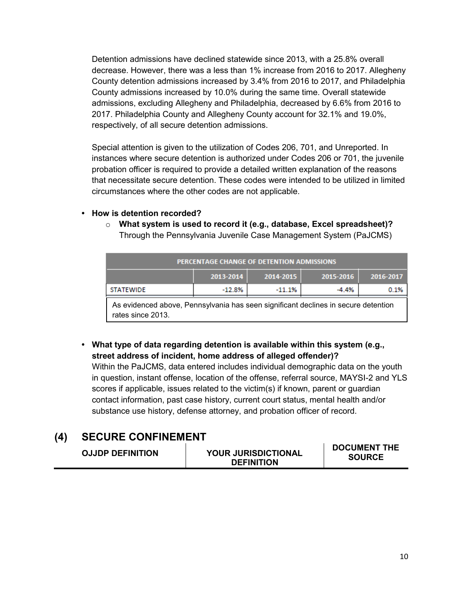Detention admissions have declined statewide since 2013, with a 25.8% overall decrease. However, there was a less than 1% increase from 2016 to 2017. Allegheny County detention admissions increased by 3.4% from 2016 to 2017, and Philadelphia County admissions increased by 10.0% during the same time. Overall statewide admissions, excluding Allegheny and Philadelphia, decreased by 6.6% from 2016 to 2017. Philadelphia County and Allegheny County account for 32.1% and 19.0%, respectively, of all secure detention admissions.

Special attention is given to the utilization of Codes 206, 701, and Unreported. In instances where secure detention is authorized under Codes 206 or 701, the juvenile probation officer is required to provide a detailed written explanation of the reasons that necessitate secure detention. These codes were intended to be utilized in limited circumstances where the other codes are not applicable.

- **• How is detention recorded?** 
	- o **What system is used to record it (e.g., database, Excel spreadsheet)?** Through the Pennsylvania Juvenile Case Management System (PaJCMS)

| PERCENTAGE CHANGE OF DETENTION ADMISSIONS |           |           |           |           |
|-------------------------------------------|-----------|-----------|-----------|-----------|
|                                           | 2013-2014 | 2014-2015 | 2015-2016 | 2016-2017 |
| <b>STATEWIDE</b>                          | $-12.8%$  | $-11.1%$  | $-4.4%$   | 0.1%      |
|                                           |           |           |           |           |

As evidenced above, Pennsylvania has seen significant declines in secure detention rates since 2013.

**• What type of data regarding detention is available within this system (e.g., street address of incident, home address of alleged offender)?** 

Within the PaJCMS, data entered includes individual demographic data on the youth in question, instant offense, location of the offense, referral source, MAYSI-2 and YLS scores if applicable, issues related to the victim(s) if known, parent or guardian contact information, past case history, current court status, mental health and/or substance use history, defense attorney, and probation officer of record.

# **(4) SECURE CONFINEMENT**

| <b>DOCUMENT THE</b><br><b>YOUR JURISDICTIONAL</b><br><b>OJJDP DEFINITION</b><br><b>SOURCE</b><br><b>DEFINITION</b> |  |
|--------------------------------------------------------------------------------------------------------------------|--|
|--------------------------------------------------------------------------------------------------------------------|--|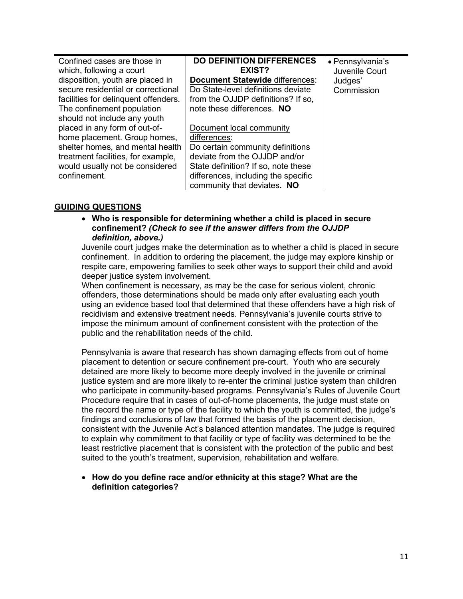| Confined cases are those in          | <b>DO DEFINITION DIFFERENCES</b>       | • Pennsylvania's |
|--------------------------------------|----------------------------------------|------------------|
| which, following a court             | EXIST?                                 | Juvenile Court   |
| disposition, youth are placed in     | <b>Document Statewide differences:</b> | Judges'          |
| secure residential or correctional   | Do State-level definitions deviate     | Commission       |
| facilities for delinquent offenders. | from the OJJDP definitions? If so,     |                  |
| The confinement population           | note these differences. NO             |                  |
| should not include any youth         |                                        |                  |
| placed in any form of out-of-        | Document local community               |                  |
| home placement. Group homes,         | differences:                           |                  |
| shelter homes, and mental health     | Do certain community definitions       |                  |
| treatment facilities, for example,   | deviate from the OJJDP and/or          |                  |
| would usually not be considered      | State definition? If so, note these    |                  |
| confinement.                         | differences, including the specific    |                  |
|                                      | community that deviates. NO            |                  |
|                                      |                                        |                  |

### **GUIDING QUESTIONS**

• **Who is responsible for determining whether a child is placed in secure confinement?** *(Check to see if the answer differs from the OJJDP definition, above.)*

Juvenile court judges make the determination as to whether a child is placed in secure confinement. In addition to ordering the placement, the judge may explore kinship or respite care, empowering families to seek other ways to support their child and avoid deeper justice system involvement.

When confinement is necessary, as may be the case for serious violent, chronic offenders, those determinations should be made only after evaluating each youth using an evidence based tool that determined that these offenders have a high risk of recidivism and extensive treatment needs. Pennsylvania's juvenile courts strive to impose the minimum amount of confinement consistent with the protection of the public and the rehabilitation needs of the child.

Pennsylvania is aware that research has shown damaging effects from out of home placement to detention or secure confinement pre-court. Youth who are securely detained are more likely to become more deeply involved in the juvenile or criminal justice system and are more likely to re-enter the criminal justice system than children who participate in community-based programs. Pennsylvania's Rules of Juvenile Court Procedure require that in cases of out-of-home placements, the judge must state on the record the name or type of the facility to which the youth is committed, the judge's findings and conclusions of law that formed the basis of the placement decision, consistent with the Juvenile Act's balanced attention mandates. The judge is required to explain why commitment to that facility or type of facility was determined to be the least restrictive placement that is consistent with the protection of the public and best suited to the youth's treatment, supervision, rehabilitation and welfare.

#### • **How do you define race and/or ethnicity at this stage? What are the definition categories?**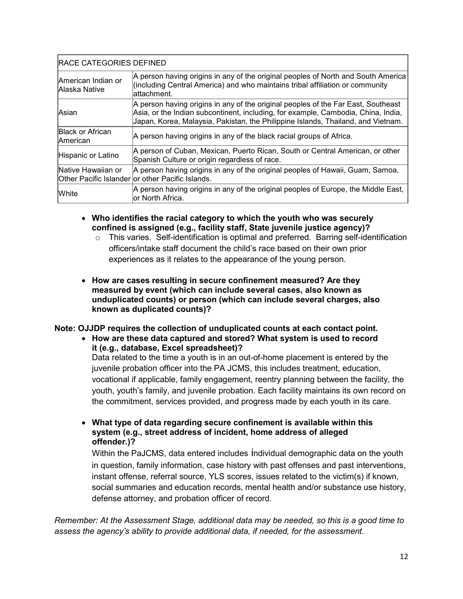| <b>RACE CATEGORIES DEFINED</b>              |                                                                                                                                                                                                                                                            |  |
|---------------------------------------------|------------------------------------------------------------------------------------------------------------------------------------------------------------------------------------------------------------------------------------------------------------|--|
| lAmerican Indian or<br><b>Alaska Native</b> | A person having origins in any of the original peoples of North and South America<br>(including Central America) and who maintains tribal affiliation or community<br>lattachment.                                                                         |  |
| lAsian                                      | A person having origins in any of the original peoples of the Far East, Southeast<br>Asia, or the Indian subcontinent, including, for example, Cambodia, China, India,<br>Japan, Korea, Malaysia, Pakistan, the Philippine Islands, Thailand, and Vietnam. |  |
| <b>Black or African</b><br><b>American</b>  | A person having origins in any of the black racial groups of Africa.                                                                                                                                                                                       |  |
| Hispanic or Latino                          | A person of Cuban, Mexican, Puerto Rican, South or Central American, or other<br>Spanish Culture or origin regardless of race.                                                                                                                             |  |
| Native Hawaiian or                          | A person having origins in any of the original peoples of Hawaii, Guam, Samoa,<br>Other Pacific Islander or other Pacific Islands.                                                                                                                         |  |
| White                                       | A person having origins in any of the original peoples of Europe, the Middle East,<br>or North Africa.                                                                                                                                                     |  |

- **Who identifies the racial category to which the youth who was securely confined is assigned (e.g., facility staff, State juvenile justice agency)?** 
	- o This varies. Self-identification is optimal and preferred. Barring self-identification officers/intake staff document the child's race based on their own prior experiences as it relates to the appearance of the young person.
- **How are cases resulting in secure confinement measured? Are they measured by event (which can include several cases, also known as unduplicated counts) or person (which can include several charges, also known as duplicated counts)?**

### **Note: OJJDP requires the collection of unduplicated counts at each contact point.**

• **How are these data captured and stored? What system is used to record it (e.g., database, Excel spreadsheet)?** Data related to the time a youth is in an out-of-home placement is entered by the juvenile probation officer into the PA JCMS, this includes treatment, education, vocational if applicable, family engagement, reentry planning between the facility, the youth, youth's family, and juvenile probation. Each facility maintains its own record on the commitment, services provided, and progress made by each youth in its care.

• **What type of data regarding secure confinement is available within this system (e.g., street address of incident, home address of alleged offender.)?** 

Within the PaJCMS, data entered includes individual demographic data on the youth in question, family information, case history with past offenses and past interventions, instant offense, referral source, YLS scores, issues related to the victim(s) if known, social summaries and education records, mental health and/or substance use history, defense attorney, and probation officer of record.

*Remember: At the Assessment Stage, additional data may be needed, so this is a good time to assess the agency's ability to provide additional data, if needed, for the assessment.*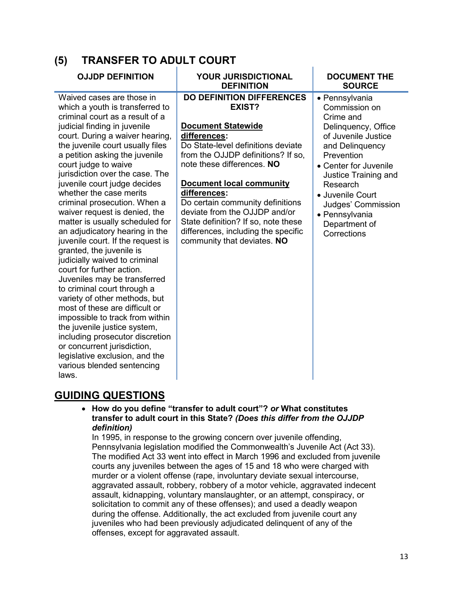| <b>TRANSFER TO ADULT COURT</b><br>(5)                                                                                                                                                                                                                                                                                                                                                                                                                                                                                                                                                                                                                                                                                                                                                                                                                                                                                                                                               |                                                                                                                                                                                                                                                                                                                                                                                                                                               |                                                                                                                                                                                                                                                                                      |  |  |
|-------------------------------------------------------------------------------------------------------------------------------------------------------------------------------------------------------------------------------------------------------------------------------------------------------------------------------------------------------------------------------------------------------------------------------------------------------------------------------------------------------------------------------------------------------------------------------------------------------------------------------------------------------------------------------------------------------------------------------------------------------------------------------------------------------------------------------------------------------------------------------------------------------------------------------------------------------------------------------------|-----------------------------------------------------------------------------------------------------------------------------------------------------------------------------------------------------------------------------------------------------------------------------------------------------------------------------------------------------------------------------------------------------------------------------------------------|--------------------------------------------------------------------------------------------------------------------------------------------------------------------------------------------------------------------------------------------------------------------------------------|--|--|
| <b>OJJDP DEFINITION</b>                                                                                                                                                                                                                                                                                                                                                                                                                                                                                                                                                                                                                                                                                                                                                                                                                                                                                                                                                             | <b>YOUR JURISDICTIONAL</b><br><b>DEFINITION</b>                                                                                                                                                                                                                                                                                                                                                                                               | <b>DOCUMENT THE</b><br><b>SOURCE</b>                                                                                                                                                                                                                                                 |  |  |
| Waived cases are those in<br>which a youth is transferred to<br>criminal court as a result of a<br>judicial finding in juvenile<br>court. During a waiver hearing,<br>the juvenile court usually files<br>a petition asking the juvenile<br>court judge to waive<br>jurisdiction over the case. The<br>juvenile court judge decides<br>whether the case merits<br>criminal prosecution. When a<br>waiver request is denied, the<br>matter is usually scheduled for<br>an adjudicatory hearing in the<br>juvenile court. If the request is<br>granted, the juvenile is<br>judicially waived to criminal<br>court for further action.<br>Juveniles may be transferred<br>to criminal court through a<br>variety of other methods, but<br>most of these are difficult or<br>impossible to track from within<br>the juvenile justice system,<br>including prosecutor discretion<br>or concurrent jurisdiction,<br>legislative exclusion, and the<br>various blended sentencing<br>laws. | <b>DO DEFINITION DIFFERENCES</b><br><b>EXIST?</b><br><b>Document Statewide</b><br>differences:<br>Do State-level definitions deviate<br>from the OJJDP definitions? If so,<br>note these differences. NO<br><b>Document local community</b><br>differences:<br>Do certain community definitions<br>deviate from the OJJDP and/or<br>State definition? If so, note these<br>differences, including the specific<br>community that deviates. NO | • Pennsylvania<br>Commission on<br>Crime and<br>Delinquency, Office<br>of Juvenile Justice<br>and Delinguency<br>Prevention<br>• Center for Juvenile<br>Justice Training and<br>Research<br>• Juvenile Court<br>Judges' Commission<br>• Pennsylvania<br>Department of<br>Corrections |  |  |

# **GUIDING QUESTIONS**

• **How do you define "transfer to adult court"?** *or* **What constitutes transfer to adult court in this State?** *(Does this differ from the OJJDP definition)*

In 1995, in response to the growing concern over juvenile offending, Pennsylvania legislation modified the Commonwealth's Juvenile Act (Act 33). The modified Act 33 went into effect in March 1996 and excluded from juvenile courts any juveniles between the ages of 15 and 18 who were charged with murder or a violent offense (rape, involuntary deviate sexual intercourse, aggravated assault, robbery, robbery of a motor vehicle, aggravated indecent assault, kidnapping, voluntary manslaughter, or an attempt, conspiracy, or solicitation to commit any of these offenses); and used a deadly weapon during the offense. Additionally, the act excluded from juvenile court any juveniles who had been previously adjudicated delinquent of any of the offenses, except for aggravated assault.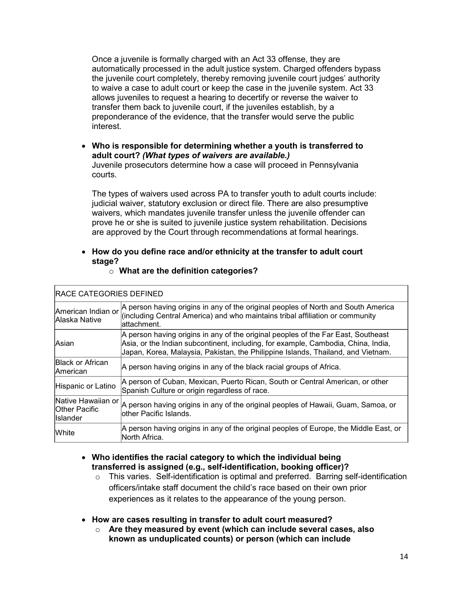Once a juvenile is formally charged with an Act 33 offense, they are automatically processed in the adult justice system. Charged offenders bypass the juvenile court completely, thereby removing juvenile court judges' authority to waive a case to adult court or keep the case in the juvenile system. Act 33 allows juveniles to request a hearing to decertify or reverse the waiver to transfer them back to juvenile court, if the juveniles establish, by a preponderance of the evidence, that the transfer would serve the public interest.

• **Who is responsible for determining whether a youth is transferred to adult court?** *(What types of waivers are available.)* Juvenile prosecutors determine how a case will proceed in Pennsylvania courts.

The types of waivers used across PA to transfer youth to adult courts include: judicial waiver, statutory exclusion or direct file. There are also presumptive waivers, which mandates juvenile transfer unless the juvenile offender can prove he or she is suited to juvenile justice system rehabilitation. Decisions are approved by the Court through recommendations at formal hearings.

## • **How do you define race and/or ethnicity at the transfer to adult court stage?**

o **What are the definition categories?**

| American Indian or<br>Alaska Native                           | A person having origins in any of the original peoples of North and South America<br>(including Central America) and who maintains tribal affiliation or community<br>lattachment.                                                                         |  |
|---------------------------------------------------------------|------------------------------------------------------------------------------------------------------------------------------------------------------------------------------------------------------------------------------------------------------------|--|
| <b>Asian</b>                                                  | A person having origins in any of the original peoples of the Far East, Southeast<br>Asia, or the Indian subcontinent, including, for example, Cambodia, China, India,<br>Japan, Korea, Malaysia, Pakistan, the Philippine Islands, Thailand, and Vietnam. |  |
| <b>Black or African</b><br><b>American</b>                    | A person having origins in any of the black racial groups of Africa.                                                                                                                                                                                       |  |
| Hispanic or Latino                                            | A person of Cuban, Mexican, Puerto Rican, South or Central American, or other<br>Spanish Culture or origin regardless of race.                                                                                                                             |  |
| Native Hawaiian or<br><b>Other Pacific</b><br><b>Islander</b> | A person having origins in any of the original peoples of Hawaii, Guam, Samoa, or<br>lother Pacific Islands.                                                                                                                                               |  |
| <b>White</b>                                                  | A person having origins in any of the original peoples of Europe, the Middle East, or<br>North Africa.                                                                                                                                                     |  |

## RACE CATEGORIES DEFINED

- **Who identifies the racial category to which the individual being transferred is assigned (e.g., self-identification, booking officer)?**
	- $\circ$  This varies. Self-identification is optimal and preferred. Barring self-identification officers/intake staff document the child's race based on their own prior experiences as it relates to the appearance of the young person.
- **How are cases resulting in transfer to adult court measured?** 
	- o **Are they measured by event (which can include several cases, also known as unduplicated counts) or person (which can include**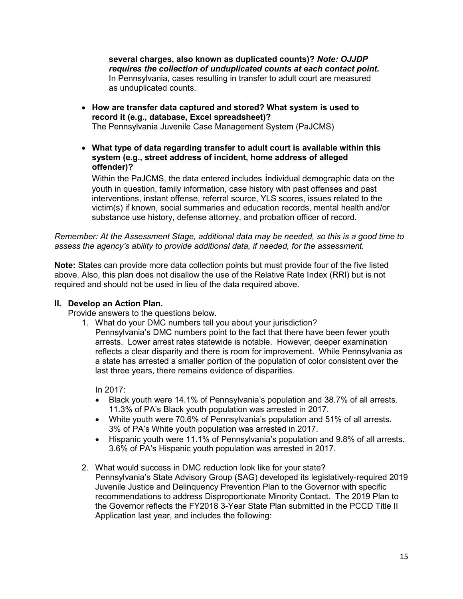**several charges, also known as duplicated counts)?** *Note: OJJDP requires the collection of unduplicated counts at each contact point.*  In Pennsylvania, cases resulting in transfer to adult court are measured as unduplicated counts.

- **How are transfer data captured and stored? What system is used to record it (e.g., database, Excel spreadsheet)?**  The Pennsylvania Juvenile Case Management System (PaJCMS)
- **What type of data regarding transfer to adult court is available within this system (e.g., street address of incident, home address of alleged offender)?**

Within the PaJCMS, the data entered includes individual demographic data on the youth in question, family information, case history with past offenses and past interventions, instant offense, referral source, YLS scores, issues related to the victim(s) if known, social summaries and education records, mental health and/or substance use history, defense attorney, and probation officer of record.

*Remember: At the Assessment Stage, additional data may be needed, so this is a good time to assess the agency's ability to provide additional data, if needed, for the assessment.*

**Note:** States can provide more data collection points but must provide four of the five listed above. Also, this plan does not disallow the use of the Relative Rate Index (RRI) but is not required and should not be used in lieu of the data required above.

### **II. Develop an Action Plan.**

Provide answers to the questions below.

- 1. What do your DMC numbers tell you about your jurisdiction?
	- Pennsylvania's DMC numbers point to the fact that there have been fewer youth arrests. Lower arrest rates statewide is notable. However, deeper examination reflects a clear disparity and there is room for improvement. While Pennsylvania as a state has arrested a smaller portion of the population of color consistent over the last three years, there remains evidence of disparities.

In 2017:

- Black youth were 14.1% of Pennsylvania's population and 38.7% of all arrests. 11.3% of PA's Black youth population was arrested in 2017.
- White youth were 70.6% of Pennsylvania's population and 51% of all arrests. 3% of PA's White youth population was arrested in 2017.
- Hispanic youth were 11.1% of Pennsylvania's population and 9.8% of all arrests. 3.6% of PA's Hispanic youth population was arrested in 2017.
- 2. What would success in DMC reduction look like for your state? Pennsylvania's State Advisory Group (SAG) developed its legislatively-required 2019 Juvenile Justice and Delinquency Prevention Plan to the Governor with specific recommendations to address Disproportionate Minority Contact. The 2019 Plan to the Governor reflects the FY2018 3-Year State Plan submitted in the PCCD Title II Application last year, and includes the following: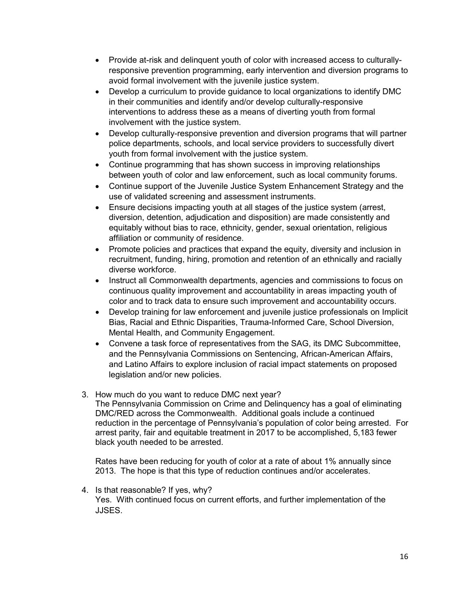- Provide at-risk and delinquent youth of color with increased access to culturallyresponsive prevention programming, early intervention and diversion programs to avoid formal involvement with the juvenile justice system.
- Develop a curriculum to provide guidance to local organizations to identify DMC in their communities and identify and/or develop culturally-responsive interventions to address these as a means of diverting youth from formal involvement with the justice system.
- Develop culturally-responsive prevention and diversion programs that will partner police departments, schools, and local service providers to successfully divert youth from formal involvement with the justice system.
- Continue programming that has shown success in improving relationships between youth of color and law enforcement, such as local community forums.
- Continue support of the Juvenile Justice System Enhancement Strategy and the use of validated screening and assessment instruments.
- Ensure decisions impacting youth at all stages of the justice system (arrest, diversion, detention, adjudication and disposition) are made consistently and equitably without bias to race, ethnicity, gender, sexual orientation, religious affiliation or community of residence.
- Promote policies and practices that expand the equity, diversity and inclusion in recruitment, funding, hiring, promotion and retention of an ethnically and racially diverse workforce.
- Instruct all Commonwealth departments, agencies and commissions to focus on continuous quality improvement and accountability in areas impacting youth of color and to track data to ensure such improvement and accountability occurs.
- Develop training for law enforcement and juvenile justice professionals on Implicit Bias, Racial and Ethnic Disparities, Trauma-Informed Care, School Diversion, Mental Health, and Community Engagement.
- Convene a task force of representatives from the SAG, its DMC Subcommittee, and the Pennsylvania Commissions on Sentencing, African-American Affairs, and Latino Affairs to explore inclusion of racial impact statements on proposed legislation and/or new policies.
- 3. How much do you want to reduce DMC next year?

The Pennsylvania Commission on Crime and Delinquency has a goal of eliminating DMC/RED across the Commonwealth. Additional goals include a continued reduction in the percentage of Pennsylvania's population of color being arrested. For arrest parity, fair and equitable treatment in 2017 to be accomplished, 5,183 fewer black youth needed to be arrested.

Rates have been reducing for youth of color at a rate of about 1% annually since 2013. The hope is that this type of reduction continues and/or accelerates.

4. Is that reasonable? If yes, why? Yes. With continued focus on current efforts, and further implementation of the JJSES.